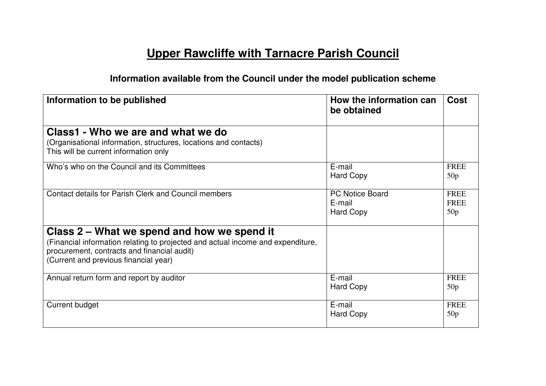## **Upper Rawcliffe with Tarnacre Parish Council**

## **Information available from the Council under the model publication scheme**

| Information to be published                                                                                                                                                                                            | How the information can<br>be obtained               | <b>Cost</b>                       |
|------------------------------------------------------------------------------------------------------------------------------------------------------------------------------------------------------------------------|------------------------------------------------------|-----------------------------------|
| Class1 - Who we are and what we do<br>(Organisational information, structures, locations and contacts)<br>This will be current information only                                                                        |                                                      |                                   |
| Who's who on the Council and its Committees                                                                                                                                                                            | E-mail<br><b>Hard Copy</b>                           | <b>FREE</b><br>50p                |
| Contact details for Parish Clerk and Council members                                                                                                                                                                   | <b>PC Notice Board</b><br>E-mail<br><b>Hard Copy</b> | <b>FREE</b><br><b>FREE</b><br>50p |
| Class 2 – What we spend and how we spend it<br>(Financial information relating to projected and actual income and expenditure,<br>procurement, contracts and financial audit)<br>(Current and previous financial year) |                                                      |                                   |
| Annual return form and report by auditor                                                                                                                                                                               | E-mail<br><b>Hard Copy</b>                           | <b>FREE</b><br>50p                |
| <b>Current budget</b>                                                                                                                                                                                                  | E-mail<br><b>Hard Copy</b>                           | <b>FREE</b><br>50p                |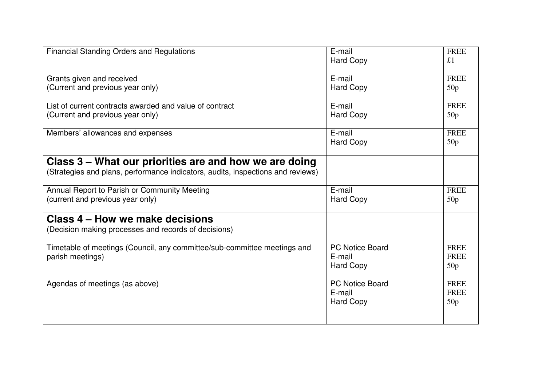| <b>Financial Standing Orders and Regulations</b>                                | E-mail<br><b>Hard Copy</b> | <b>FREE</b><br>£1 |
|---------------------------------------------------------------------------------|----------------------------|-------------------|
|                                                                                 |                            |                   |
| Grants given and received                                                       | E-mail                     | <b>FREE</b>       |
| (Current and previous year only)                                                | <b>Hard Copy</b>           | 50p               |
| List of current contracts awarded and value of contract                         | E-mail                     | <b>FREE</b>       |
| (Current and previous year only)                                                | <b>Hard Copy</b>           | 50p               |
| Members' allowances and expenses                                                | E-mail                     | <b>FREE</b>       |
|                                                                                 | <b>Hard Copy</b>           | 50p               |
| Class 3 – What our priorities are and how we are doing                          |                            |                   |
| (Strategies and plans, performance indicators, audits, inspections and reviews) |                            |                   |
| Annual Report to Parish or Community Meeting                                    | E-mail                     | <b>FREE</b>       |
| (current and previous year only)                                                | <b>Hard Copy</b>           | 50p               |
| Class 4 – How we make decisions                                                 |                            |                   |
| (Decision making processes and records of decisions)                            |                            |                   |
| Timetable of meetings (Council, any committee/sub-committee meetings and        | <b>PC Notice Board</b>     | <b>FREE</b>       |
| parish meetings)                                                                | E-mail                     | <b>FREE</b>       |
|                                                                                 | <b>Hard Copy</b>           | 50p               |
| Agendas of meetings (as above)                                                  | <b>PC Notice Board</b>     | <b>FREE</b>       |
|                                                                                 | E-mail                     | <b>FREE</b>       |
|                                                                                 | <b>Hard Copy</b>           | 50p               |
|                                                                                 |                            |                   |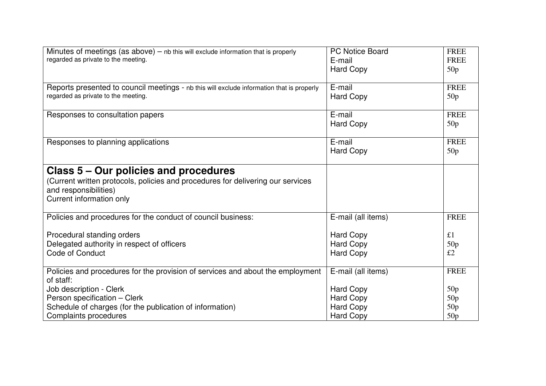| Minutes of meetings (as $above$ ) – nb this will exclude information that is properly     | PC Notice Board    | <b>FREE</b> |
|-------------------------------------------------------------------------------------------|--------------------|-------------|
| regarded as private to the meeting.                                                       |                    |             |
|                                                                                           | E-mail             | <b>FREE</b> |
|                                                                                           | <b>Hard Copy</b>   | 50p         |
|                                                                                           |                    |             |
| Reports presented to council meetings - nb this will exclude information that is properly | E-mail             | <b>FREE</b> |
| regarded as private to the meeting.                                                       | <b>Hard Copy</b>   | 50p         |
|                                                                                           |                    |             |
| Responses to consultation papers                                                          | E-mail             | <b>FREE</b> |
|                                                                                           | <b>Hard Copy</b>   | 50p         |
|                                                                                           |                    |             |
| Responses to planning applications                                                        | E-mail             | <b>FREE</b> |
|                                                                                           | <b>Hard Copy</b>   | 50p         |
|                                                                                           |                    |             |
| Class 5 – Our policies and procedures                                                     |                    |             |
|                                                                                           |                    |             |
| (Current written protocols, policies and procedures for delivering our services           |                    |             |
| and responsibilities)                                                                     |                    |             |
| Current information only                                                                  |                    |             |
|                                                                                           |                    |             |
| Policies and procedures for the conduct of council business:                              | E-mail (all items) | <b>FREE</b> |
|                                                                                           |                    |             |
| Procedural standing orders                                                                | <b>Hard Copy</b>   | £1          |
| Delegated authority in respect of officers                                                | <b>Hard Copy</b>   | 50p         |
| <b>Code of Conduct</b>                                                                    | <b>Hard Copy</b>   | £2          |
|                                                                                           |                    |             |
| Policies and procedures for the provision of services and about the employment            | E-mail (all items) | <b>FREE</b> |
| of staff:                                                                                 |                    |             |
| Job description - Clerk                                                                   | <b>Hard Copy</b>   | 50p         |
| Person specification - Clerk                                                              | Hard Copy          | 50p         |
| Schedule of charges (for the publication of information)                                  | <b>Hard Copy</b>   | 50p         |
| Complaints procedures                                                                     | <b>Hard Copy</b>   | 50p         |
|                                                                                           |                    |             |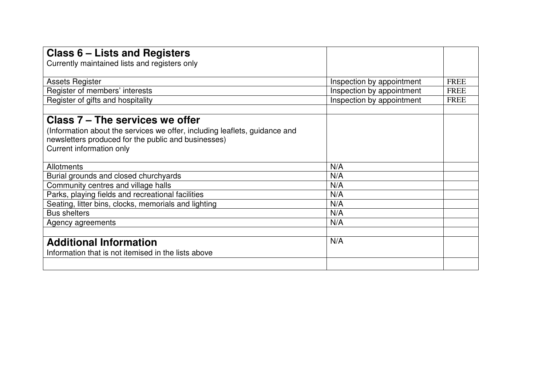| <b>Class 6 – Lists and Registers</b>                                       |             |
|----------------------------------------------------------------------------|-------------|
| Currently maintained lists and registers only                              |             |
|                                                                            |             |
| <b>Assets Register</b><br>Inspection by appointment                        | <b>FREE</b> |
| Register of members' interests<br>Inspection by appointment                | <b>FREE</b> |
| Register of gifts and hospitality<br>Inspection by appointment             | <b>FREE</b> |
|                                                                            |             |
| Class 7 – The services we offer                                            |             |
| (Information about the services we offer, including leaflets, guidance and |             |
| newsletters produced for the public and businesses)                        |             |
| Current information only                                                   |             |
|                                                                            |             |
| N/A<br>Allotments                                                          |             |
| Burial grounds and closed churchyards<br>N/A                               |             |
| Community centres and village halls<br>N/A                                 |             |
| Parks, playing fields and recreational facilities<br>N/A                   |             |
| Seating, litter bins, clocks, memorials and lighting<br>N/A                |             |
| <b>Bus shelters</b><br>N/A                                                 |             |
| N/A<br>Agency agreements                                                   |             |
|                                                                            |             |
| N/A<br><b>Additional Information</b>                                       |             |
| Information that is not itemised in the lists above                        |             |
|                                                                            |             |